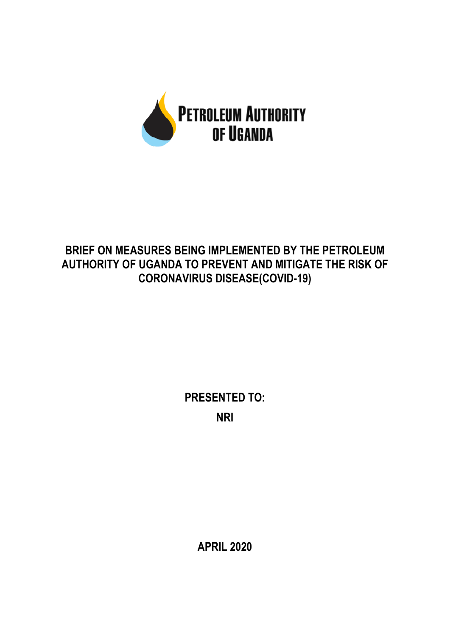

## **BRIEF ON MEASURES BEING IMPLEMENTED BY THE PETROLEUM AUTHORITY OF UGANDA TO PREVENT AND MITIGATE THE RISK OF CORONAVIRUS DISEASE(COVID-19)**

**PRESENTED TO: NRI**

**APRIL 2020**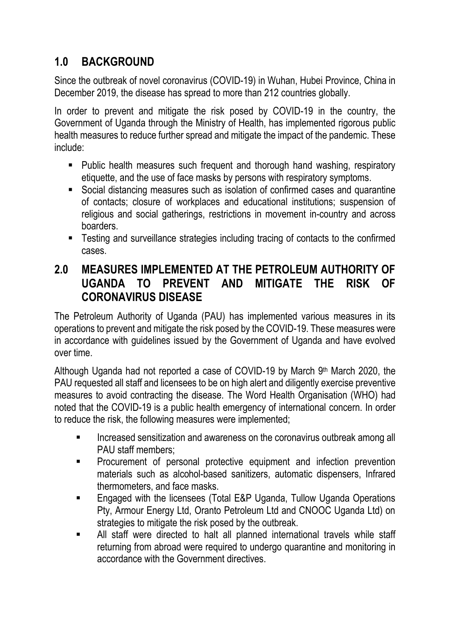## **1.0 BACKGROUND**

Since the outbreak of novel coronavirus (COVID-19) in Wuhan, Hubei Province, China in December 2019, the disease has spread to more than 212 countries globally.

In order to prevent and mitigate the risk posed by COVID-19 in the country, the Government of Uganda through the Ministry of Health, has implemented rigorous public health measures to reduce further spread and mitigate the impact of the pandemic. These include:

- Public health measures such frequent and thorough hand washing, respiratory etiquette, and the use of face masks by persons with respiratory symptoms.
- Social distancing measures such as isolation of confirmed cases and quarantine of contacts; closure of workplaces and educational institutions; suspension of religious and social gatherings, restrictions in movement in-country and across boarders.
- Testing and surveillance strategies including tracing of contacts to the confirmed cases.

## **2.0 MEASURES IMPLEMENTED AT THE PETROLEUM AUTHORITY OF UGANDA TO PREVENT AND MITIGATE THE RISK OF CORONAVIRUS DISEASE**

The Petroleum Authority of Uganda (PAU) has implemented various measures in its operations to prevent and mitigate the risk posed by the COVID-19. These measures were in accordance with guidelines issued by the Government of Uganda and have evolved over time.

Although Uganda had not reported a case of COVID-19 by March  $9<sup>th</sup>$  March 2020, the PAU requested all staff and licensees to be on high alert and diligently exercise preventive measures to avoid contracting the disease. The Word Health Organisation (WHO) had noted that the COVID-19 is a public health emergency of international concern. In order to reduce the risk, the following measures were implemented;

- Increased sensitization and awareness on the coronavirus outbreak among all PAU staff members;
- Procurement of personal protective equipment and infection prevention materials such as alcohol-based sanitizers, automatic dispensers, Infrared thermometers, and face masks.
- Engaged with the licensees (Total E&P Uganda, Tullow Uganda Operations Pty, Armour Energy Ltd, Oranto Petroleum Ltd and CNOOC Uganda Ltd) on strategies to mitigate the risk posed by the outbreak.
- All staff were directed to halt all planned international travels while staff returning from abroad were required to undergo quarantine and monitoring in accordance with the Government directives.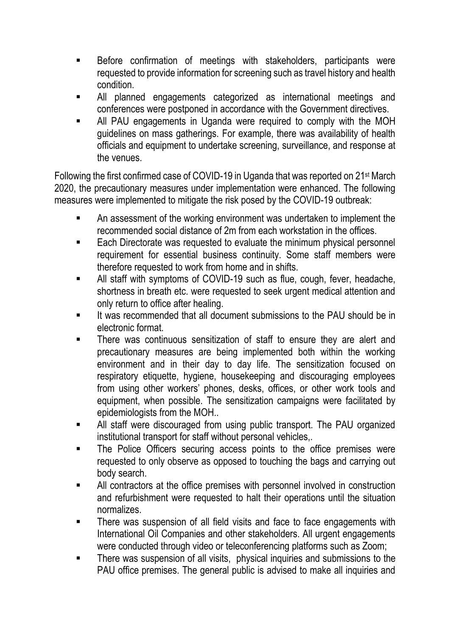- Before confirmation of meetings with stakeholders, participants were requested to provide information for screening such as travel history and health condition.
- All planned engagements categorized as international meetings and conferences were postponed in accordance with the Government directives.
- All PAU engagements in Uganda were required to comply with the MOH guidelines on mass gatherings. For example, there was availability of health officials and equipment to undertake screening, surveillance, and response at the venues.

Following the first confirmed case of COVID-19 in Uganda that was reported on 21st March 2020, the precautionary measures under implementation were enhanced. The following measures were implemented to mitigate the risk posed by the COVID-19 outbreak:

- An assessment of the working environment was undertaken to implement the recommended social distance of 2m from each workstation in the offices.
- Each Directorate was requested to evaluate the minimum physical personnel requirement for essential business continuity. Some staff members were therefore requested to work from home and in shifts.
- All staff with symptoms of COVID-19 such as flue, cough, fever, headache, shortness in breath etc. were requested to seek urgent medical attention and only return to office after healing.
- It was recommended that all document submissions to the PAU should be in electronic format.
- There was continuous sensitization of staff to ensure they are alert and precautionary measures are being implemented both within the working environment and in their day to day life. The sensitization focused on respiratory etiquette, hygiene, housekeeping and discouraging employees from using other workers' phones, desks, offices, or other work tools and equipment, when possible. The sensitization campaigns were facilitated by epidemiologists from the MOH..
- All staff were discouraged from using public transport. The PAU organized institutional transport for staff without personal vehicles,.
- The Police Officers securing access points to the office premises were requested to only observe as opposed to touching the bags and carrying out body search.
- All contractors at the office premises with personnel involved in construction and refurbishment were requested to halt their operations until the situation normalizes.
- There was suspension of all field visits and face to face engagements with International Oil Companies and other stakeholders. All urgent engagements were conducted through video or teleconferencing platforms such as Zoom;
- There was suspension of all visits, physical inquiries and submissions to the PAU office premises. The general public is advised to make all inquiries and